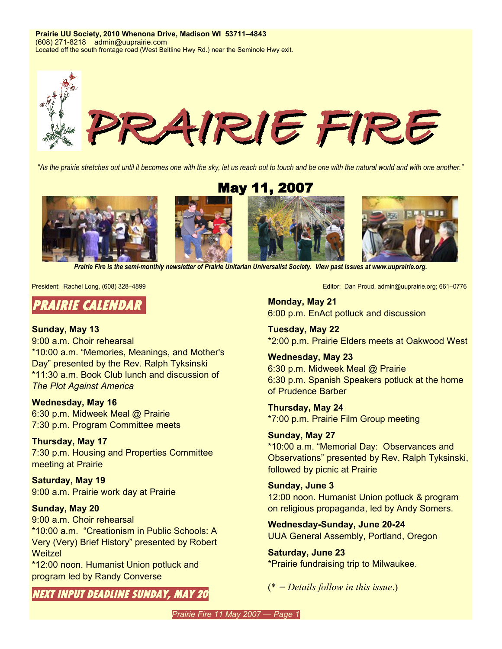**Prairie UU Society, 2010 Whenona Drive, Madison WI 53711–4843** (608) 271-8218 admin@uuprairie.com Located off the south frontage road (West Beltline Hwy Rd.) near the Seminole Hwy exit.



"As the prairie stretches out until it becomes one with the sky, let us reach out to touch and be one with the natural world and with one another."

May 11, 2007



*Prairie Fire is the semi-monthly newsletter of Prairie Unitarian Universalist Society. View past issues at [www.uuprairie.org](http://www.uuprairie.org/)[.](file:///C:/Documents and Settings/Office/My Documents/Prairie Fire newsletter/2007/2006/PF20060421/www.uuprairie.org)*

### **PRAIRIE CALENDAR**

#### **Sunday, May 13**

9:00 a.m. Choir rehearsal \*10:00 a.m. "Memories, Meanings, and Mother's Day" presented by the Rev. Ralph Tyksinski \*11:30 a.m. Book Club lunch and discussion of *The Plot Against America*

#### **Wednesday, May 16**

6:30 p.m. Midweek Meal @ Prairie 7:30 p.m. Program Committee meets

#### **Thursday, May 17**

7:30 p.m. Housing and Properties Committee meeting at Prairie

**Saturday, May 19** 9:00 a.m. Prairie work day at Prairie

#### **Sunday, May 20**

9:00 a.m. Choir rehearsal \*10:00 a.m. "Creationism in Public Schools: A Very (Very) Brief History" presented by Robert **Weitzel** 

\*12:00 noon. Humanist Union potluck and program led by Randy Converse

**NEXT INPUT DEADLINE SUNDAY, MAY 20**

President: Rachel Long, (608) 328–4899 **Editor: Dan Proud, admin@uuprairie.org**; 661–0776

**Monday, May 21** 6:00 p.m. EnAct potluck and discussion

**Tuesday, May 22** \*2:00 p.m. Prairie Elders meets at Oakwood West

**Wednesday, May 23** 6:30 p.m. Midweek Meal @ Prairie 6:30 p.m. Spanish Speakers potluck at the home of Prudence Barber

**Thursday, May 24** \*7:00 p.m. Prairie Film Group meeting

### **Sunday, May 27**

\*10:00 a.m. "Memorial Day: Observances and Observations" presented by Rev. Ralph Tyksinski, followed by picnic at Prairie

**Sunday, June 3** 12:00 noon. Humanist Union potluck & program on religious propaganda, led by Andy Somers.

**Wednesday-Sunday, June 20-24** UUA General Assembly, Portland, Oregon

**Saturday, June 23** \*Prairie fundraising trip to Milwaukee.

(\* *= Details follow in this issue*.)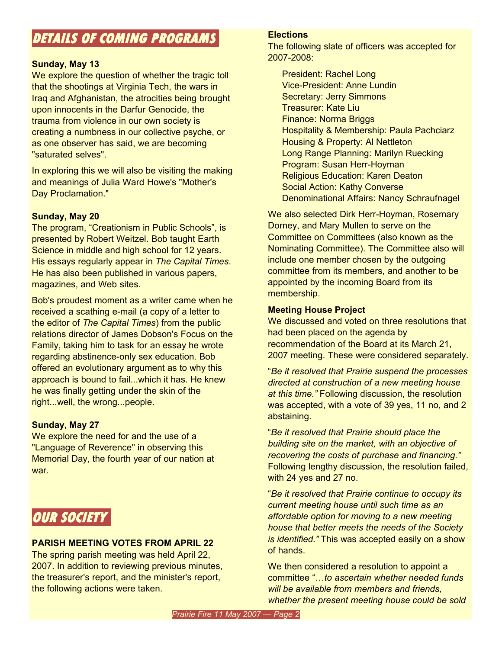## **DETAILS OF COMING PROGRAMS**

#### **Sunday, May 13**

We explore the question of whether the tragic toll that the shootings at Virginia Tech, the wars in Iraq and Afghanistan, the atrocities being brought upon innocents in the Darfur Genocide, the trauma from violence in our own society is creating a numbness in our collective psyche, or as one observer has said, we are becoming "saturated selves".

In exploring this we will also be visiting the making and meanings of Julia Ward Howe's "Mother's Day Proclamation."

#### **Sunday, May 20**

The program, "Creationism in Public Schools", is presented by Robert Weitzel. Bob taught Earth Science in middle and high school for 12 years. His essays regularly appear in *The Capital Times*. He has also been published in various papers, magazines, and Web sites.

Bob's proudest moment as a writer came when he received a scathing e-mail (a copy of a letter to the editor of *The Capital Times*) from the public relations director of James Dobson's Focus on the Family, taking him to task for an essay he wrote regarding abstinence-only sex education. Bob offered an evolutionary argument as to why this approach is bound to fail...which it has. He knew he was finally getting under the skin of the right...well, the wrong...people.

#### **Sunday, May 27**

We explore the need for and the use of a "Language of Reverence" in observing this Memorial Day, the fourth year of our nation at war.

## **OUR SOCIETY**

#### **PARISH MEETING VOTES FROM APRIL 22**

The spring parish meeting was held April 22, 2007. In addition to reviewing previous minutes, the treasurer's report, and the minister's report, the following actions were taken.

#### **Elections**

The following slate of officers was accepted for 2007-2008:

President: Rachel Long Vice-President: Anne Lundin Secretary: Jerry Simmons Treasurer: Kate Liu Finance: Norma Briggs Hospitality & Membership: Paula Pachciarz Housing & Property: Al Nettleton Long Range Planning: Marilyn Ruecking Program: Susan Herr-Hoyman Religious Education: Karen Deaton Social Action: Kathy Converse Denominational Affairs: Nancy Schraufnagel

We also selected Dirk Herr-Hoyman, Rosemary Dorney, and Mary Mullen to serve on the Committee on Committees (also known as the Nominating Committee). The Committee also will include one member chosen by the outgoing committee from its members, and another to be appointed by the incoming Board from its membership.

#### **Meeting House Project**

We discussed and voted on three resolutions that had been placed on the agenda by recommendation of the Board at its March 21, 2007 meeting. These were considered separately.

"*Be it resolved that Prairie suspend the processes directed at construction of a new meeting house at this time."* Following discussion, the resolution was accepted, with a vote of 39 yes, 11 no, and 2 abstaining.

"*Be it resolved that Prairie should place the building site on the market, with an objective of recovering the costs of purchase and financing."* Following lengthy discussion, the resolution failed, with 24 yes and 27 no.

"*Be it resolved that Prairie continue to occupy its current meeting house until such time as an affordable option for moving to a new meeting house that better meets the needs of the Society is identified."* This was accepted easily on a show of hands.

We then considered a resolution to appoint a committee "…*to ascertain whether needed funds will be available from members and friends, whether the present meeting house could be sold*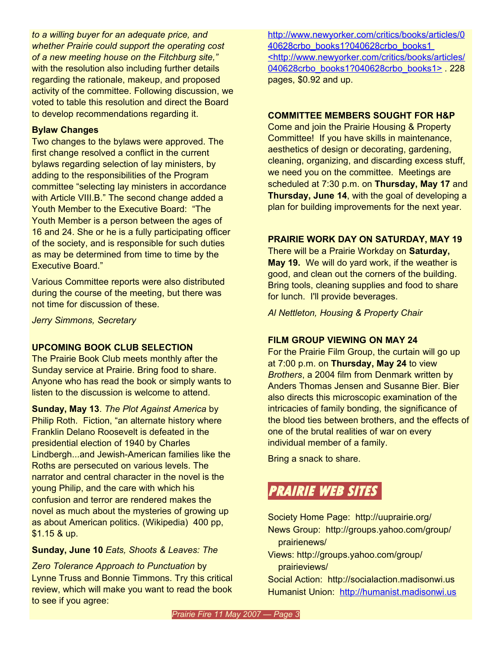*to a willing buyer for an adequate price, and whether Prairie could support the operating cost of a new meeting house on the Fitchburg site,"* with the resolution also including further details regarding the rationale, makeup, and proposed activity of the committee. Following discussion, we voted to table this resolution and direct the Board to develop recommendations regarding it.

#### **Bylaw Changes**

Two changes to the bylaws were approved. The first change resolved a conflict in the current bylaws regarding selection of lay ministers, by adding to the responsibilities of the Program committee "selecting lay ministers in accordance with Article VIII.B." The second change added a Youth Member to the Executive Board: "The Youth Member is a person between the ages of 16 and 24. She or he is a fully participating officer of the society, and is responsible for such duties as may be determined from time to time by the Executive Board."

Various Committee reports were also distributed during the course of the meeting, but there was not time for discussion of these.

*Jerry Simmons, Secretary*

#### **UPCOMING BOOK CLUB SELECTION**

The Prairie Book Club meets monthly after the Sunday service at Prairie. Bring food to share. Anyone who has read the book or simply wants to listen to the discussion is welcome to attend.

**Sunday, May 13**. *The Plot Against America* by Philip Roth. Fiction, "an alternate history where Franklin Delano Roosevelt is defeated in the presidential election of 1940 by Charles Lindbergh...and Jewish-American families like the Roths are persecuted on various levels. The narrator and central character in the novel is the young Philip, and the care with which his confusion and terror are rendered makes the novel as much about the mysteries of growing up as about American politics. (Wikipedia) 400 pp, \$1.15 & up.

#### **Sunday, June 10** *Eats, Shoots & Leaves: The*

*Zero Tolerance Approach to Punctuation* by Lynne Truss and Bonnie Timmons. Try this critical review, which will make you want to read the book to see if you agree:

[http://www.newyorker.com/critics/books/articles/0](http://www.newyorker.com/critics/books/articles/040628crbo_books1?040628crbo_books1) [40628crbo\\_books1?040628crbo\\_books1](http://www.newyorker.com/critics/books/articles/040628crbo_books1?040628crbo_books1) [<http://www.newyorker.com/critics/books/articles/](http://www.newyorker.com/critics/books/articles/040628crbo_books1?040628crbo_books1) [040628crbo\\_books1?040628crbo\\_books1>](http://www.newyorker.com/critics/books/articles/040628crbo_books1?040628crbo_books1) . 228 pages, \$0.92 and up.

#### **COMMITTEE MEMBERS SOUGHT FOR H&P**

Come and join the Prairie Housing & Property Committee! If you have skills in maintenance, aesthetics of design or decorating, gardening, cleaning, organizing, and discarding excess stuff, we need you on the committee. Meetings are scheduled at 7:30 p.m. on **Thursday, May 17** and **Thursday, June 14**, with the goal of developing a plan for building improvements for the next year.

#### **PRAIRIE WORK DAY ON SATURDAY, MAY 19**

There will be a Prairie Workday on **Saturday, May 19.** We will do yard work, if the weather is good, and clean out the corners of the building. Bring tools, cleaning supplies and food to share for lunch. I'll provide beverages.

*Al Nettleton, Housing & Property Chair*

#### **FILM GROUP VIEWING ON MAY 24**

For the Prairie Film Group, the curtain will go up at 7:00 p.m. on **Thursday, May 24** to view *Brothers*, a 2004 film from Denmark written by Anders Thomas Jensen and Susanne Bier. Bier also directs this microscopic examination of the intricacies of family bonding, the significance of the blood ties between brothers, and the effects of one of the brutal realities of war on every individual member of a family.

Bring a snack to share.

## **PRAIRIE WEB SITES**

Society Home Page: http://uuprairie.org/ News Group: <http://groups.yahoo.com/group/> prairienews/

Views: <http://groups.yahoo.com/group/> prairieviews/

Social Action: http://socialaction.madisonwi.us Humanist Union: [http://humanist.madisonwi.us](http://humanist.madisonwi.us/)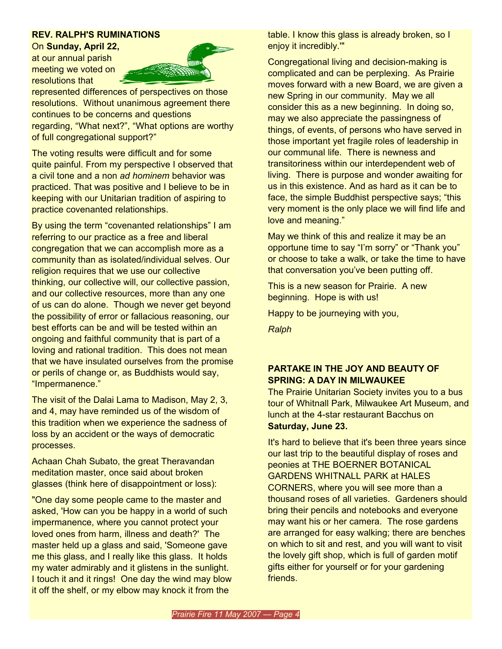#### **REV. RALPH'S RUMINATIONS**

On **Sunday, April 22,** at our annual parish meeting we voted on resolutions that



represented differences of perspectives on those resolutions. Without unanimous agreement there continues to be concerns and questions regarding, "What next?", "What options are worthy of full congregational support?"

The voting results were difficult and for some quite painful. From my perspective I observed that a civil tone and a non *ad hominem* behavior was practiced. That was positive and I believe to be in keeping with our Unitarian tradition of aspiring to practice covenanted relationships.

By using the term "covenanted relationships" I am referring to our practice as a free and liberal congregation that we can accomplish more as a community than as isolated/individual selves. Our religion requires that we use our collective thinking, our collective will, our collective passion, and our collective resources, more than any one of us can do alone. Though we never get beyond the possibility of error or fallacious reasoning, our best efforts can be and will be tested within an ongoing and faithful community that is part of a loving and rational tradition. This does not mean that we have insulated ourselves from the promise or perils of change or, as Buddhists would say, "Impermanence."

The visit of the Dalai Lama to Madison, May 2, 3, and 4, may have reminded us of the wisdom of this tradition when we experience the sadness of loss by an accident or the ways of democratic processes.

Achaan Chah Subato, the great Theravandan meditation master, once said about broken glasses (think here of disappointment or loss):

"One day some people came to the master and asked, 'How can you be happy in a world of such impermanence, where you cannot protect your loved ones from harm, illness and death?' The master held up a glass and said, 'Someone gave me this glass, and I really like this glass. It holds my water admirably and it glistens in the sunlight. I touch it and it rings! One day the wind may blow it off the shelf, or my elbow may knock it from the

table. I know this glass is already broken, so I enjoy it incredibly.'"

Congregational living and decision-making is complicated and can be perplexing. As Prairie moves forward with a new Board, we are given a new Spring in our community. May we all consider this as a new beginning. In doing so, may we also appreciate the passingness of things, of events, of persons who have served in those important yet fragile roles of leadership in our communal life. There is newness and transitoriness within our interdependent web of living. There is purpose and wonder awaiting for us in this existence. And as hard as it can be to face, the simple Buddhist perspective says; "this very moment is the only place we will find life and love and meaning."

May we think of this and realize it may be an opportune time to say "I'm sorry" or "Thank you" or choose to take a walk, or take the time to have that conversation you've been putting off.

This is a new season for Prairie. A new beginning. Hope is with us!

Happy to be journeying with you,

*Ralph*

#### **PARTAKE IN THE JOY AND BEAUTY OF SPRING: A DAY IN MILWAUKEE**

The Prairie Unitarian Society invites you to a bus tour of Whitnall Park, Milwaukee Art Museum, and lunch at the 4-star restaurant Bacchus on **Saturday, June 23.**

It's hard to believe that it's been three years since our last trip to the beautiful display of roses and peonies at THE BOERNER BOTANICAL GARDENS WHITNALL PARK at HALES CORNERS, where you will see more than a thousand roses of all varieties. Gardeners should bring their pencils and notebooks and everyone may want his or her camera. The rose gardens are arranged for easy walking; there are benches on which to sit and rest, and you will want to visit the lovely gift shop, which is full of garden motif gifts either for yourself or for your gardening friends.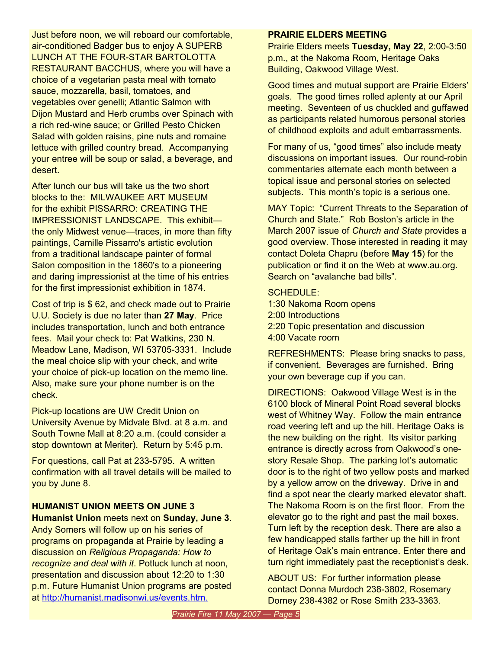Just before noon, we will reboard our comfortable, air-conditioned Badger bus to enjoy A SUPERB LUNCH AT THE FOUR-STAR BARTOLOTTA RESTAURANT BACCHUS, where you will have a choice of a vegetarian pasta meal with tomato sauce, mozzarella, basil, tomatoes, and vegetables over genelli; Atlantic Salmon with Dijon Mustard and Herb crumbs over Spinach with a rich red-wine sauce; or Grilled Pesto Chicken Salad with golden raisins, pine nuts and romaine lettuce with grilled country bread. Accompanying your entree will be soup or salad, a beverage, and desert.

After lunch our bus will take us the two short blocks to the: MILWAUKEE ART MUSEUM for the exhibit PISSARRO: CREATING THE IMPRESSIONIST LANDSCAPE. This exhibit the only Midwest venue—traces, in more than fifty paintings, Camille Pissarro's artistic evolution from a traditional landscape painter of formal Salon composition in the 1860's to a pioneering and daring impressionist at the time of his entries for the first impressionist exhibition in 1874.

Cost of trip is \$ 62, and check made out to Prairie U.U. Society is due no later than **27 May**. Price includes transportation, lunch and both entrance fees. Mail your check to: Pat Watkins, 230 N. Meadow Lane, Madison, WI 53705-3331. Include the meal choice slip with your check, and write your choice of pick-up location on the memo line. Also, make sure your phone number is on the check.

Pick-up locations are UW Credit Union on University Avenue by Midvale Blvd. at 8 a.m. and South Towne Mall at 8:20 a.m. (could consider a stop downtown at Meriter). Return by 5:45 p.m.

For questions, call Pat at 233-5795. A written confirmation with all travel details will be mailed to you by June 8.

#### **HUMANIST UNION MEETS ON JUNE 3**

**Humanist Union** meets next on **Sunday, June 3**. Andy Somers will follow up on his series of programs on propaganda at Prairie by leading a discussion on *Religious Propaganda: How to recognize and deal with it*. Potluck lunch at noon, presentation and discussion about 12:20 to 1:30 p.m. Future Humanist Union programs are posted at <http://humanist.madisonwi.us/events.htm.>

#### **PRAIRIE ELDERS MEETING**

Prairie Elders meets **Tuesday, May 22**, 2:00-3:50 p.m., at the Nakoma Room, Heritage Oaks Building, Oakwood Village West.

Good times and mutual support are Prairie Elders' goals. The good times rolled aplenty at our April meeting. Seventeen of us chuckled and guffawed as participants related humorous personal stories of childhood exploits and adult embarrassments.

For many of us, "good times" also include meaty discussions on important issues. Our round-robin commentaries alternate each month between a topical issue and personal stories on selected subjects. This month's topic is a serious one.

MAY Topic: "Current Threats to the Separation of Church and State." Rob Boston's article in the March 2007 issue of *Church and State* provides a good overview. Those interested in reading it may contact Doleta Chapru (before **May 15**) for the publication or find it on the Web at www.au.org. Search on "avalanche bad bills".

#### SCHEDULE:

1:30 Nakoma Room opens 2:00 Introductions 2:20 Topic presentation and discussion 4:00 Vacate room

REFRESHMENTS: Please bring snacks to pass, if convenient. Beverages are furnished. Bring your own beverage cup if you can.

DIRECTIONS: Oakwood Village West is in the 6100 block of Mineral Point Road several blocks west of Whitney Way. Follow the main entrance road veering left and up the hill. Heritage Oaks is the new building on the right. Its visitor parking entrance is directly across from Oakwood's onestory Resale Shop. The parking lot's automatic door is to the right of two yellow posts and marked by a yellow arrow on the driveway. Drive in and find a spot near the clearly marked elevator shaft. The Nakoma Room is on the first floor. From the elevator go to the right and past the mail boxes. Turn left by the reception desk. There are also a few handicapped stalls farther up the hill in front of Heritage Oak's main entrance. Enter there and turn right immediately past the receptionist's desk.

ABOUT US: For further information please contact Donna Murdoch 238-3802, Rosemary Dorney 238-4382 or Rose Smith 233-3363.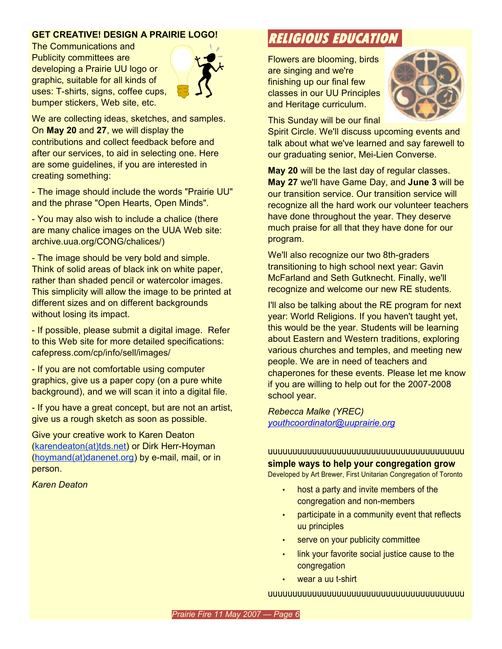#### **GET CREATIVE! DESIGN A PRAIRIE LOGO!**

The Communications and Publicity committees are developing a Prairie UU logo or graphic, suitable for all kinds of uses: T-shirts, signs, coffee cups, bumper stickers, Web site, etc.



We are collecting ideas, sketches, and samples. On **May 20** and **27**, we will display the contributions and collect feedback before and after our services, to aid in selecting one. Here are some guidelines, if you are interested in creating something:

- The image should include the words "Prairie UU" and the phrase "Open Hearts, Open Minds".

- You may also wish to include a chalice (there are many chalice images on the UUA Web site: archive.uua.org/CONG/chalices/)

- The image should be very bold and simple. Think of solid areas of black ink on white paper, rather than shaded pencil or watercolor images. This simplicity will allow the image to be printed at different sizes and on different backgrounds without losing its impact.

- If possible, please submit a digital image. Refer to this Web site for more detailed specifications: cafepress.com/cp/info/sell/images/

- If you are not comfortable using computer graphics, give us a paper copy (on a pure white background), and we will scan it into a digital file.

- If you have a great concept, but are not an artist, give us a rough sketch as soon as possible.

Give your creative work to Karen Deaton ([karendeaton\(at\)tds.net](mailto:karendeaton@tds.net)) or Dirk Herr-Hoyman ([hoymand\(at\)danenet.org\)](mailto:herrs@danenet.org) by e-mail, mail, or in person.

*Karen Deaton*

## **RELIGIOUS EDUCATION**

Flowers are blooming, birds are singing and we're finishing up our final few classes in our UU Principles and Heritage curriculum.



This Sunday will be our final

Spirit Circle. We'll discuss upcoming events and talk about what we've learned and say farewell to our graduating senior, Mei-Lien Converse.

**May 20** will be the last day of regular classes. **May 27** we'll have Game Day, and **June 3** will be our transition service. Our transition service will recognize all the hard work our volunteer teachers have done throughout the year. They deserve much praise for all that they have done for our program.

We'll also recognize our two 8th-graders transitioning to high school next year: Gavin McFarland and Seth Gutknecht. Finally, we'll recognize and welcome our new RE students.

I'll also be talking about the RE program for next year: World Religions. If you haven't taught yet, this would be the year. Students will be learning about Eastern and Western traditions, exploring various churches and temples, and meeting new people. We are in need of teachers and chaperones for these events. Please let me know if you are willing to help out for the 2007-2008 school year.

*Rebecca Malke (YREC) [youthcoordinator@uuprairie.org](mailto:youthcoordinator@uuprairie.org)*

### uuuuuuuuuuuuuuuuuuuuuuuuuuuuuuuuuuuuuuuu **simple ways to help your congregation grow**

Developed by Art Brewer, First Unitarian Congregation of Toronto

- host a party and invite members of the congregation and non-members
- participate in a community event that reflects uu principles
- serve on your publicity committee
- link your favorite social justice cause to the congregation
- wear a uu t-shirt

#### uuuuuuuuuuuuuuuuuuuuuuuuuuuuuuuuuuuuuuuu